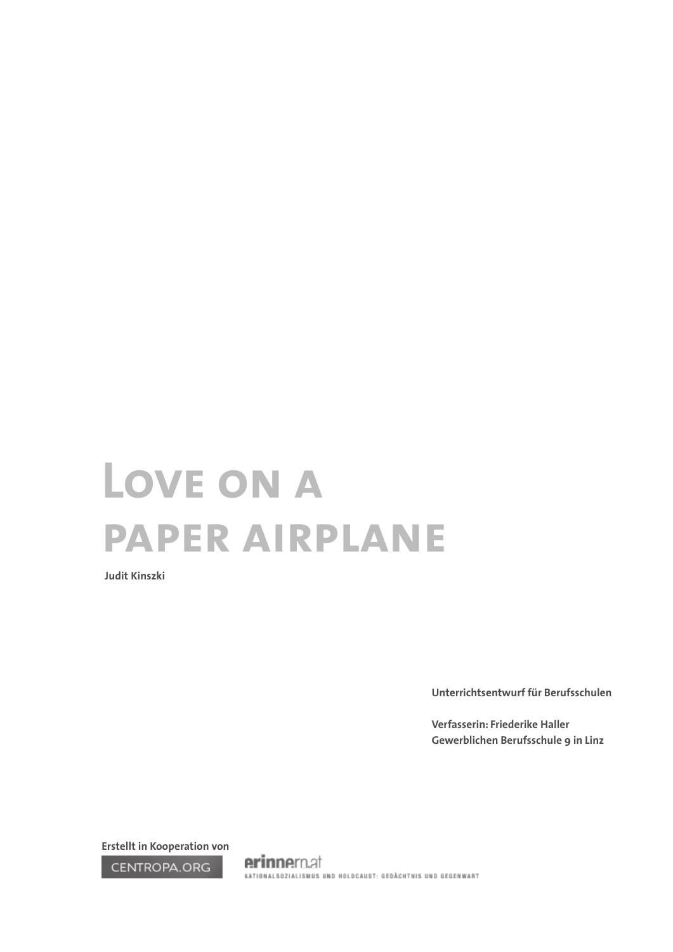# **Love on a paper airplane**

**Judit Kinszki**

**Unterrichtsentwurf für Berufsschulen** 

**Verfasserin: Friederike Haller Gewerblichen Berufsschule 9 in Linz**

**Erstellt in Kooperation von** 

CENTROPA.ORG

erinnern.at NATIONALSOZIALISMUS UND HOLOCAUST: GEDÄCHTNIS UND GEGENWART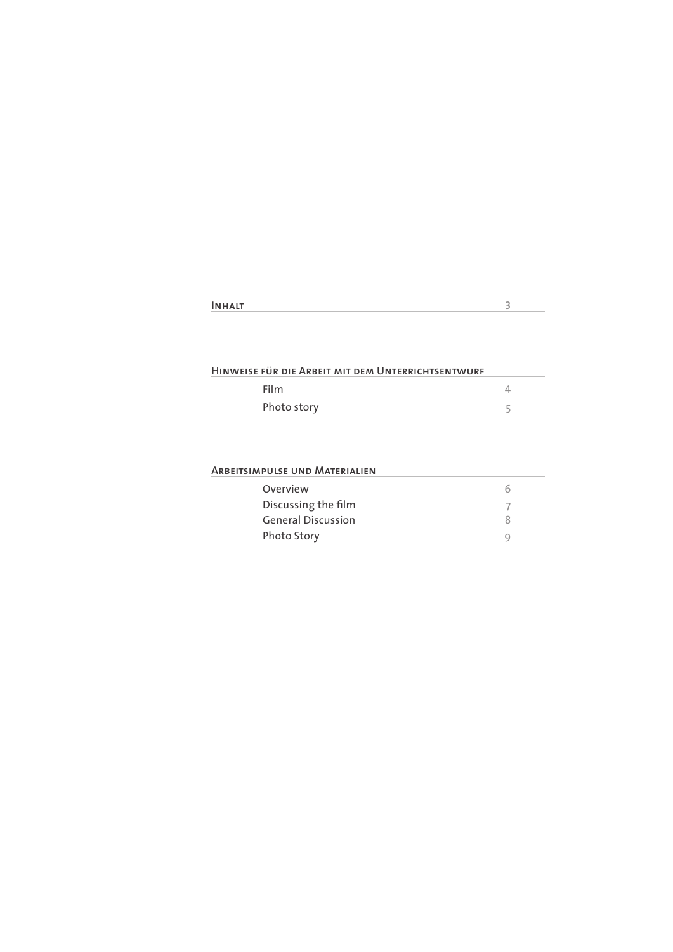| <b>INHALT</b> |  |
|---------------|--|
|               |  |

### **Hinweise für die Arbeit mit dem Unterrichtsentwurf**

| Film        |  |
|-------------|--|
| Photo story |  |

### **Arbeitsimpulse und Materialien**

| Overview                  |  |
|---------------------------|--|
| Discussing the film       |  |
| <b>General Discussion</b> |  |
| Photo Story               |  |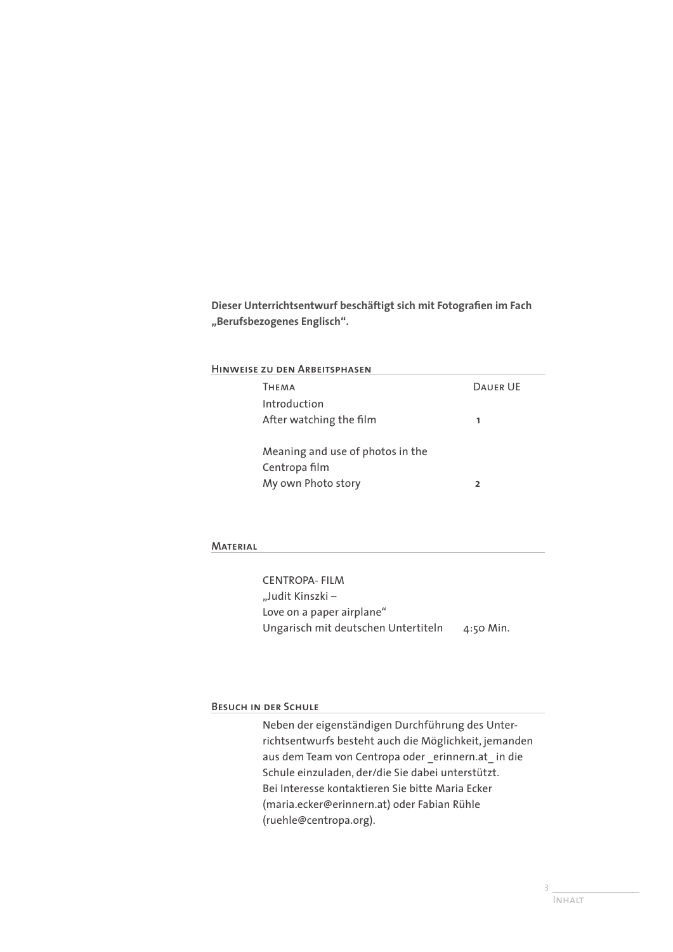**Dieser Unterrichtsentwurf beschäftigt sich mit Fotografien im Fach "Berufsbezogenes Englisch".** 

#### **Hinweise zu den Arbeitsphasen**

| Тнғма                            | <b>DAUFR UF</b> |
|----------------------------------|-----------------|
| Introduction                     |                 |
| After watching the film          | 1               |
|                                  |                 |
| Meaning and use of photos in the |                 |
| Centropa film                    |                 |
| My own Photo story               |                 |

#### **Material**

CENTROPA- FILM "Judit Kinszki – Love on a paper airplane" Ungarisch mit deutschen Untertiteln 4:50 Min.

#### **Besuch in der Schule**

Neben der eigenständigen Durchführung des Unterrichtsentwurfs besteht auch die Möglichkeit, jemanden aus dem Team von Centropa oder \_erinnern.at\_ in die Schule einzuladen, der/die Sie dabei unterstützt. Bei Interesse kontaktieren Sie bitte Maria Ecker (maria.ecker@erinnern.at) oder Fabian Rühle (ruehle@centropa.org).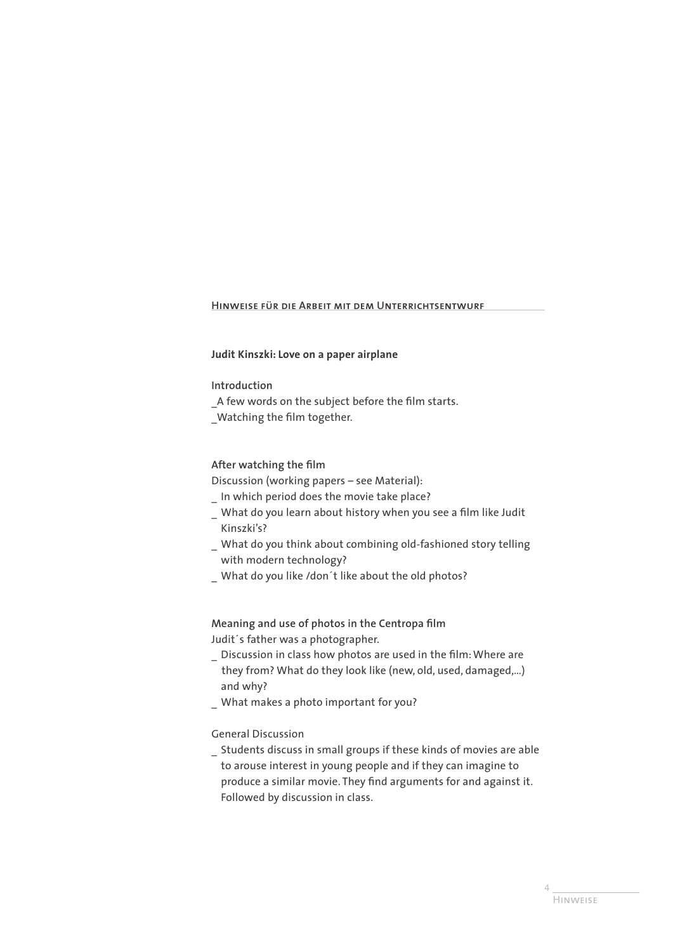# **Hinweise für die Arbeit mit dem Unterrichtsentwurf**

## **Judit Kinszki: Love on a paper airplane**

#### **Introduction**

A few words on the subject before the film starts.

\_Watching the film together.

## **After watching the film**

Discussion (working papers – see Material):

- \_ In which period does the movie take place?
- \_ What do you learn about history when you see a film like Judit Kinszki's?
- \_ What do you think about combining old-fashioned story telling with modern technology?
- What do you like /don´t like about the old photos?

# **Meaning and use of photos in the Centropa film** Judit´s father was a photographer.

- \_ Discussion in class how photos are used in the film: Where are they from? What do they look like (new, old, used, damaged,…) and why?
- \_ What makes a photo important for you?

## General Discussion

\_ Students discuss in small groups if these kinds of movies are able to arouse interest in young people and if they can imagine to produce a similar movie. They find arguments for and against it. Followed by discussion in class.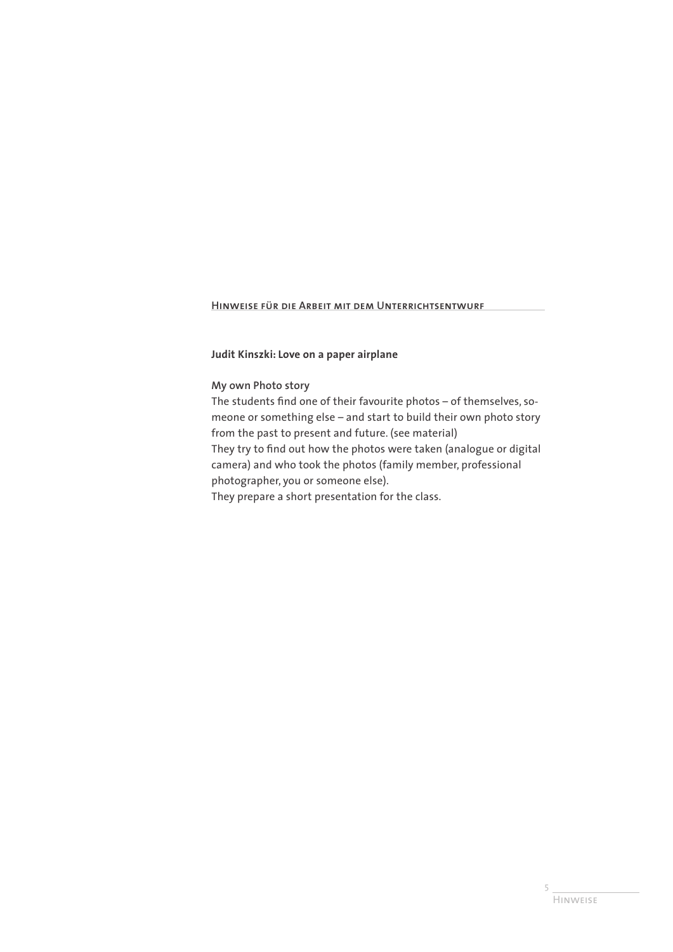**Hinweise für die Arbeit mit dem Unterrichtsentwurf**

**Judit Kinszki: Love on a paper airplane**

### **My own Photo story**

The students find one of their favourite photos – of themselves, someone or something else – and start to build their own photo story from the past to present and future. (see material) They try to find out how the photos were taken (analogue or digital camera) and who took the photos (family member, professional photographer, you or someone else). They prepare a short presentation for the class.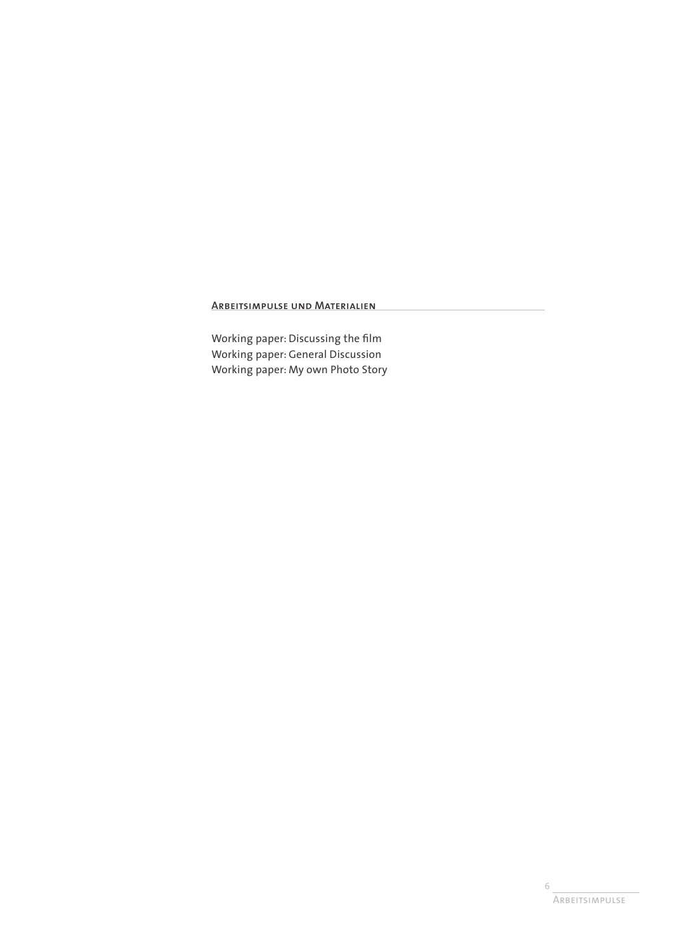# **Arbeitsimpulse und Materialien**

Working paper: Discussing the film Working paper: General Discussion Working paper: My own Photo Story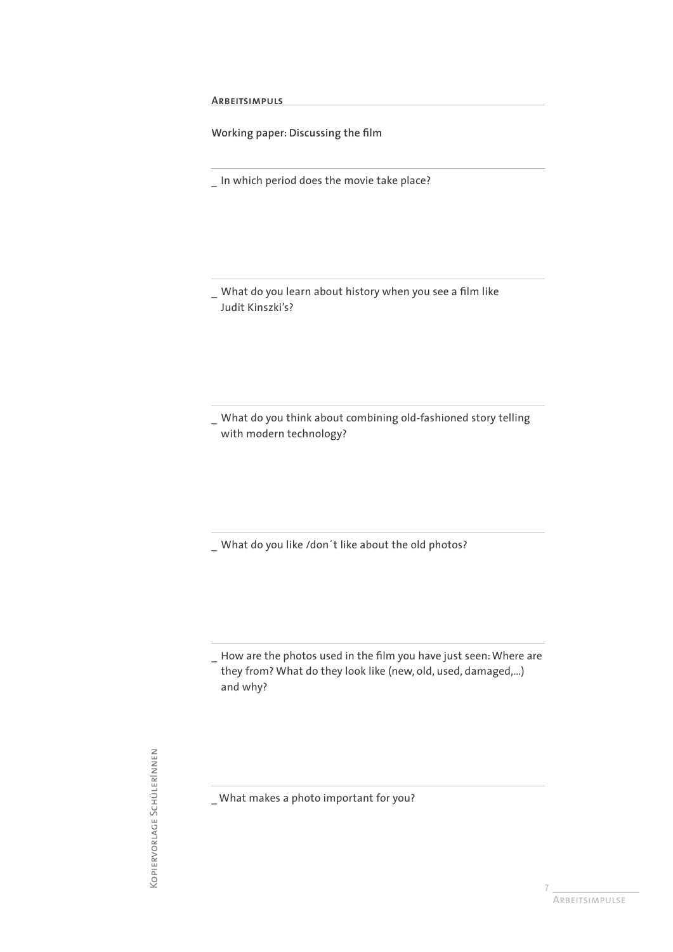**Arbeitsimpuls**

**Working paper: Discussing the film**

\_ In which period does the movie take place?

What do you learn about history when you see a film like Judit Kinszki's?

\_ What do you think about combining old-fashioned story telling with modern technology?

\_ What do you like /don´t like about the old photos?

\_ How are the photos used in the film you have just seen: Where are they from? What do they look like (new, old, used, damaged,…) and why?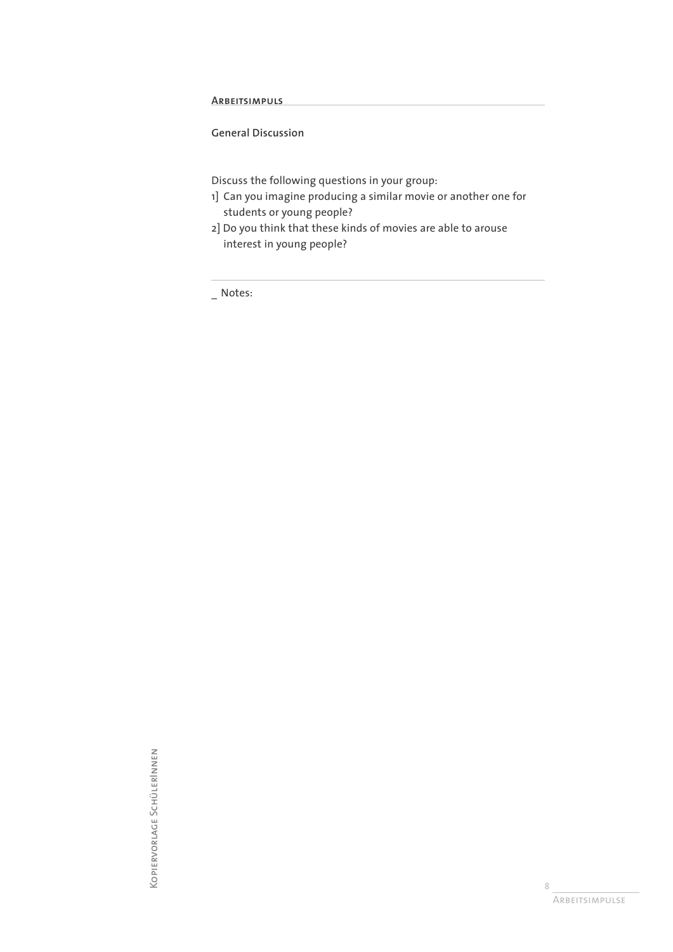**Arbeitsimpuls**

**General Discussion**

Discuss the following questions in your group:

- 1] Can you imagine producing a similar movie or another one for students or young people?
- 2] Do you think that these kinds of movies are able to arouse interest in young people?

\_ Notes:

KOPIERVORLAGE SCHÜLERINNEN Kopiervorlage SchülerInnen

8 Arbeitsimpulse